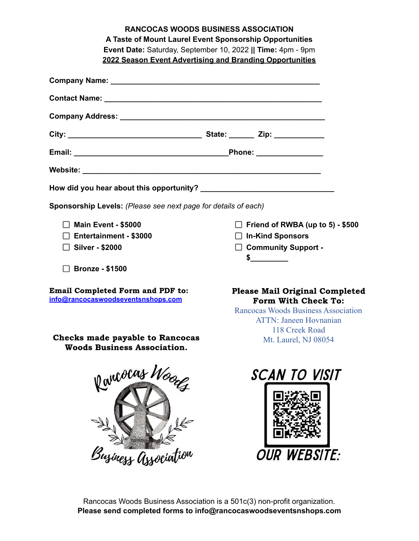|                                                                               | <b>RANCOCAS WOODS BUSINESS ASSOCIATION</b>                                                                                                  |
|-------------------------------------------------------------------------------|---------------------------------------------------------------------------------------------------------------------------------------------|
|                                                                               | A Taste of Mount Laurel Event Sponsorship Opportunities<br>Event Date: Saturday, September 10, 2022    Time: 4pm - 9pm                      |
|                                                                               | 2022 Season Event Advertising and Branding Opportunities                                                                                    |
|                                                                               |                                                                                                                                             |
|                                                                               |                                                                                                                                             |
|                                                                               |                                                                                                                                             |
|                                                                               |                                                                                                                                             |
|                                                                               |                                                                                                                                             |
|                                                                               |                                                                                                                                             |
|                                                                               |                                                                                                                                             |
| Sponsorship Levels: (Please see next page for details of each)                |                                                                                                                                             |
| $\Box$ Main Event - \$5000                                                    | $\Box$ Friend of RWBA (up to 5) - \$500                                                                                                     |
| $\Box$ Entertainment - \$3000                                                 | $\Box$ In-Kind Sponsors                                                                                                                     |
| $\Box$ Silver - \$2000                                                        | $\Box$ Community Support -                                                                                                                  |
| $\Box$ Bronze - \$1500                                                        | $\frac{1}{2}$                                                                                                                               |
| <b>Email Completed Form and PDF to:</b><br>info@rancocaswoodseventsnshops.com | <b>Please Mail Original Completed</b><br>Form With Check To:<br><b>Rancocas Woods Business Association</b><br><b>ATTN: Janeen Hovnanian</b> |
| <b>Checks made payable to Rancocas</b><br><b>Woods Business Association.</b>  | 118 Creek Road<br>Mt. Laurel, NJ 08054                                                                                                      |
| Rancocas Woods<br>Business Association                                        | SCAN TO VISIT<br><b>OUR WEBSITE:</b>                                                                                                        |

Rancocas Woods Business Association is a 501c(3) non-profit organization. **Please send completed forms to info@rancocaswoodseventsnshops.com**